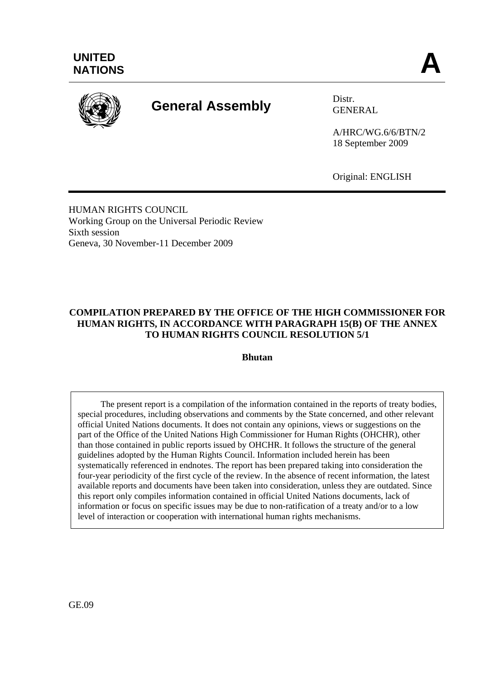

# **General Assembly** Distr.

GENERAL

A/HRC/WG.6/6/BTN/2 18 September 2009

Original: ENGLISH

HUMAN RIGHTS COUNCIL Working Group on the Universal Periodic Review Sixth session Geneva, 30 November-11 December 2009

## **COMPILATION PREPARED BY THE OFFICE OF THE HIGH COMMISSIONER FOR HUMAN RIGHTS, IN ACCORDANCE WITH PARAGRAPH 15(B) OF THE ANNEX TO HUMAN RIGHTS COUNCIL RESOLUTION 5/1**

**Bhutan**

 The present report is a compilation of the information contained in the reports of treaty bodies, special procedures, including observations and comments by the State concerned, and other relevant official United Nations documents. It does not contain any opinions, views or suggestions on the part of the Office of the United Nations High Commissioner for Human Rights (OHCHR), other than those contained in public reports issued by OHCHR. It follows the structure of the general guidelines adopted by the Human Rights Council. Information included herein has been systematically referenced in endnotes. The report has been prepared taking into consideration the four-year periodicity of the first cycle of the review. In the absence of recent information, the latest available reports and documents have been taken into consideration, unless they are outdated. Since this report only compiles information contained in official United Nations documents, lack of information or focus on specific issues may be due to non-ratification of a treaty and/or to a low level of interaction or cooperation with international human rights mechanisms.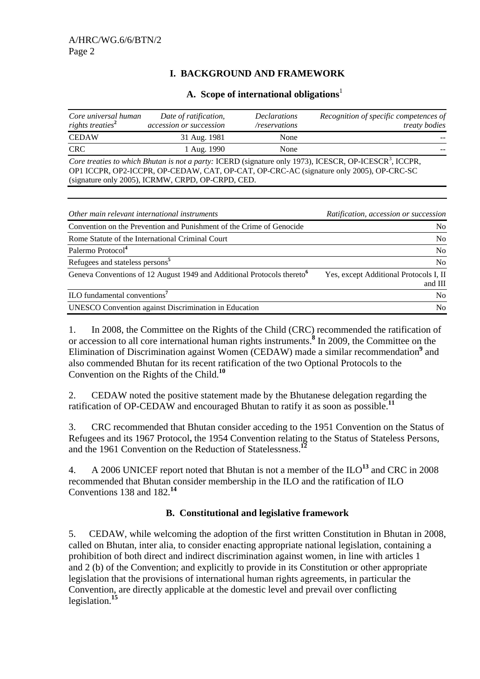## **I. BACKGROUND AND FRAMEWORK**

#### A. Scope of international obligations<sup>1</sup>

| Core universal human<br>rights treaties <sup>2</sup>                                                                                                                                                                                                               | Date of ratification,<br>accession or succession | <b>Declarations</b><br>/reservations | Recognition of specific competences of<br><i>treaty bodies</i> |
|--------------------------------------------------------------------------------------------------------------------------------------------------------------------------------------------------------------------------------------------------------------------|--------------------------------------------------|--------------------------------------|----------------------------------------------------------------|
| <b>CEDAW</b>                                                                                                                                                                                                                                                       | 31 Aug. 1981                                     | None                                 |                                                                |
| CRC.                                                                                                                                                                                                                                                               | 1 Aug. 1990                                      | None                                 |                                                                |
| Core treaties to which Bhutan is not a party: ICERD (signature only 1973), ICESCR, OP-ICESCR <sup>3</sup> , ICCPR,<br>OP1 ICCPR, OP2-ICCPR, OP-CEDAW, CAT, OP-CAT, OP-CRC-AC (signature only 2005), OP-CRC-SC<br>(signature only 2005), ICRMW, CRPD, OP-CRPD, CED. |                                                  |                                      |                                                                |

| Other main relevant international instruments                                      | Ratification, accession or succession             |
|------------------------------------------------------------------------------------|---------------------------------------------------|
| Convention on the Prevention and Punishment of the Crime of Genocide               | No.                                               |
| Rome Statute of the International Criminal Court                                   | N <sub>o</sub>                                    |
| Palermo Protocol <sup>4</sup>                                                      | N <sub>0</sub>                                    |
| Refugees and stateless persons <sup>5</sup>                                        | N <sub>o</sub>                                    |
| Geneva Conventions of 12 August 1949 and Additional Protocols thereto <sup>6</sup> | Yes, except Additional Protocols I, II<br>and III |
| ILO fundamental conventions <sup>7</sup>                                           | N <sub>o</sub>                                    |
| <b>UNESCO</b> Convention against Discrimination in Education                       | No.                                               |

1. In 2008, the Committee on the Rights of the Child (CRC) recommended the ratification of or accession to all core international human rights instruments.**<sup>8</sup>** In 2009, the Committee on the Elimination of Discrimination against Women (CEDAW) made a similar recommendation<sup>9</sup> and also commended Bhutan for its recent ratification of the two Optional Protocols to the Convention on the Rights of the Child.**<sup>10</sup>**

2. CEDAW noted the positive statement made by the Bhutanese delegation regarding the ratification of OP-CEDAW and encouraged Bhutan to ratify it as soon as possible.**<sup>11</sup>**

3. CRC recommended that Bhutan consider acceding to the 1951 Convention on the Status of Refugees and its 1967 Protocol**,** the 1954 Convention relating to the Status of Stateless Persons, and the 1961 Convention on the Reduction of Statelessness.**<sup>12</sup>**

4. A 2006 UNICEF report noted that Bhutan is not a member of the ILO**<sup>13</sup>** and CRC in 2008 recommended that Bhutan consider membership in the ILO and the ratification of ILO Conventions 138 and 182.**<sup>14</sup>**

#### **B. Constitutional and legislative framework**

5. CEDAW, while welcoming the adoption of the first written Constitution in Bhutan in 2008, called on Bhutan, inter alia, to consider enacting appropriate national legislation, containing a prohibition of both direct and indirect discrimination against women, in line with articles 1 and 2 (b) of the Convention; and explicitly to provide in its Constitution or other appropriate legislation that the provisions of international human rights agreements, in particular the Convention, are directly applicable at the domestic level and prevail over conflicting legislation.**<sup>15</sup>**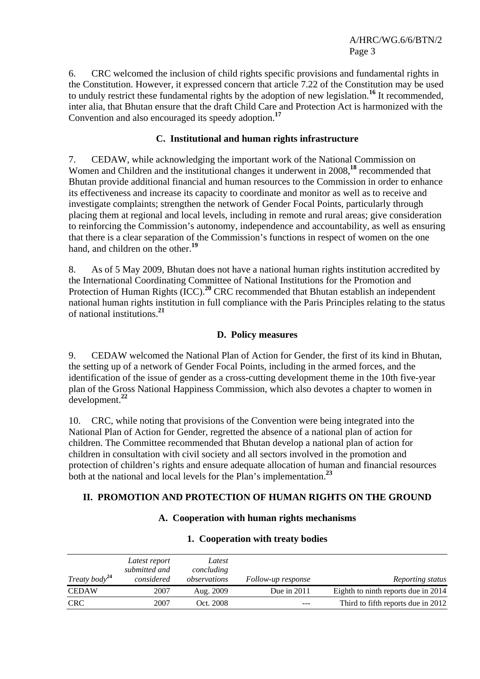6. CRC welcomed the inclusion of child rights specific provisions and fundamental rights in the Constitution. However, it expressed concern that article 7.22 of the Constitution may be used to unduly restrict these fundamental rights by the adoption of new legislation.**<sup>16</sup>** It recommended, inter alia, that Bhutan ensure that the draft Child Care and Protection Act is harmonized with the Convention and also encouraged its speedy adoption.**<sup>17</sup>**

## **C. Institutional and human rights infrastructure**

7. CEDAW, while acknowledging the important work of the National Commission on Women and Children and the institutional changes it underwent in 2008,**<sup>18</sup>** recommended that Bhutan provide additional financial and human resources to the Commission in order to enhance its effectiveness and increase its capacity to coordinate and monitor as well as to receive and investigate complaints; strengthen the network of Gender Focal Points, particularly through placing them at regional and local levels, including in remote and rural areas; give consideration to reinforcing the Commission's autonomy, independence and accountability, as well as ensuring that there is a clear separation of the Commission's functions in respect of women on the one hand, and children on the other.**<sup>19</sup>**

8. As of 5 May 2009, Bhutan does not have a national human rights institution accredited by the International Coordinating Committee of National Institutions for the Promotion and Protection of Human Rights (ICC).<sup>20</sup> CRC recommended that Bhutan establish an independent national human rights institution in full compliance with the Paris Principles relating to the status of national institutions.**<sup>21</sup>**

#### **D. Policy measures**

9. CEDAW welcomed the National Plan of Action for Gender, the first of its kind in Bhutan, the setting up of a network of Gender Focal Points, including in the armed forces, and the identification of the issue of gender as a cross-cutting development theme in the 10th five-year plan of the Gross National Happiness Commission, which also devotes a chapter to women in development.**<sup>22</sup>**

10. CRC, while noting that provisions of the Convention were being integrated into the National Plan of Action for Gender, regretted the absence of a national plan of action for children. The Committee recommended that Bhutan develop a national plan of action for children in consultation with civil society and all sectors involved in the promotion and protection of children's rights and ensure adequate allocation of human and financial resources both at the national and local levels for the Plan's implementation.**<sup>23</sup>**

#### **II. PROMOTION AND PROTECTION OF HUMAN RIGHTS ON THE GROUND**

## **A. Cooperation with human rights mechanisms**

|                           | Latest report<br>submitted and | Latest<br>concluding |                    |                                     |
|---------------------------|--------------------------------|----------------------|--------------------|-------------------------------------|
| Treaty body <sup>24</sup> | considered                     | observations         | Follow-up response | Reporting status                    |
| <b>CEDAW</b>              | 2007                           | Aug. 2009            | Due in $2011$      | Eighth to ninth reports due in 2014 |
| <b>CRC</b>                | 2007                           | Oct. 2008            | $- - -$            | Third to fifth reports due in 2012  |

#### **1. Cooperation with treaty bodies**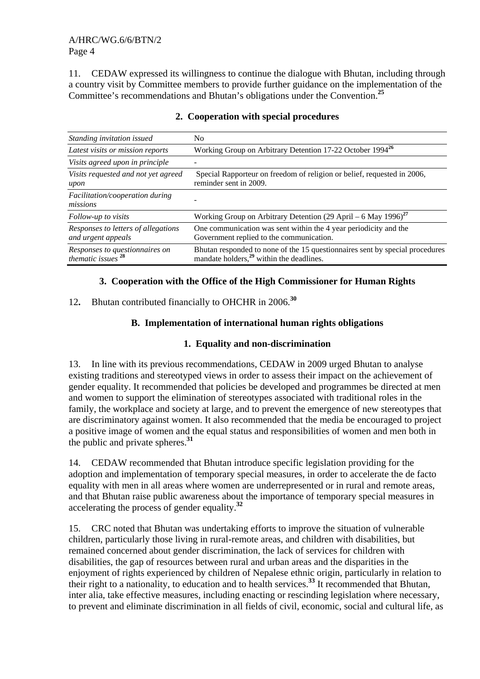11. CEDAW expressed its willingness to continue the dialogue with Bhutan, including through a country visit by Committee members to provide further guidance on the implementation of the Committee's recommendations and Bhutan's obligations under the Convention.**<sup>25</sup>**

| Standing invitation issued                                      | No.                                                                                                                                  |  |  |
|-----------------------------------------------------------------|--------------------------------------------------------------------------------------------------------------------------------------|--|--|
| Latest visits or mission reports                                | Working Group on Arbitrary Detention 17-22 October 1994 <sup>26</sup>                                                                |  |  |
| Visits agreed upon in principle                                 |                                                                                                                                      |  |  |
| Visits requested and not yet agreed<br>upon                     | Special Rapporteur on freedom of religion or belief, requested in 2006,<br>reminder sent in 2009.                                    |  |  |
| Facilitation/cooperation during<br>missions                     |                                                                                                                                      |  |  |
| Follow-up to visits                                             | Working Group on Arbitrary Detention (29 April – 6 May 1996) <sup>27</sup>                                                           |  |  |
| Responses to letters of allegations<br>and urgent appeals       | One communication was sent within the 4 year periodicity and the<br>Government replied to the communication.                         |  |  |
| Responses to questionnaires on<br>thematic issues <sup>28</sup> | Bhutan responded to none of the 15 questionnaires sent by special procedures<br>mandate holders, <sup>29</sup> within the deadlines. |  |  |

#### **2. Cooperation with special procedures**

## **3. Cooperation with the Office of the High Commissioner for Human Rights**

## 12**.** Bhutan contributed financially to OHCHR in 2006.**<sup>30</sup>**

## **B. Implementation of international human rights obligations**

## **1. Equality and non-discrimination**

13. In line with its previous recommendations, CEDAW in 2009 urged Bhutan to analyse existing traditions and stereotyped views in order to assess their impact on the achievement of gender equality. It recommended that policies be developed and programmes be directed at men and women to support the elimination of stereotypes associated with traditional roles in the family, the workplace and society at large, and to prevent the emergence of new stereotypes that are discriminatory against women. It also recommended that the media be encouraged to project a positive image of women and the equal status and responsibilities of women and men both in the public and private spheres.**<sup>31</sup>**

14. CEDAW recommended that Bhutan introduce specific legislation providing for the adoption and implementation of temporary special measures, in order to accelerate the de facto equality with men in all areas where women are underrepresented or in rural and remote areas, and that Bhutan raise public awareness about the importance of temporary special measures in accelerating the process of gender equality.**<sup>32</sup>**

15. CRC noted that Bhutan was undertaking efforts to improve the situation of vulnerable children, particularly those living in rural-remote areas, and children with disabilities, but remained concerned about gender discrimination, the lack of services for children with disabilities, the gap of resources between rural and urban areas and the disparities in the enjoyment of rights experienced by children of Nepalese ethnic origin, particularly in relation to their right to a nationality, to education and to health services.**<sup>33</sup>** It recommended that Bhutan, inter alia, take effective measures, including enacting or rescinding legislation where necessary, to prevent and eliminate discrimination in all fields of civil, economic, social and cultural life, as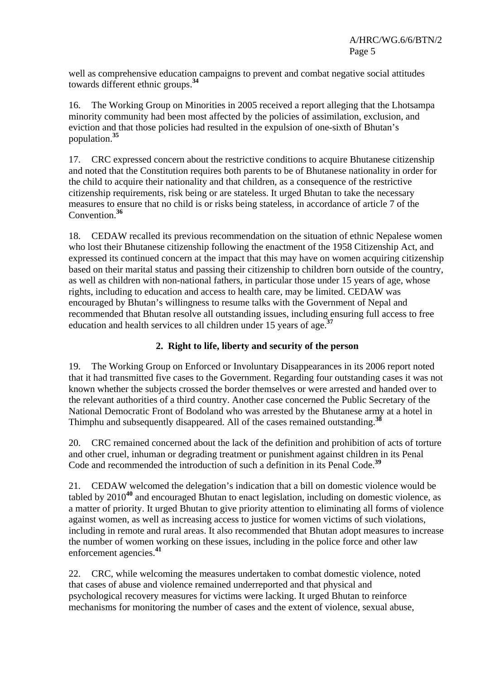well as comprehensive education campaigns to prevent and combat negative social attitudes towards different ethnic groups.**<sup>34</sup>**

16. The Working Group on Minorities in 2005 received a report alleging that the Lhotsampa minority community had been most affected by the policies of assimilation, exclusion, and eviction and that those policies had resulted in the expulsion of one-sixth of Bhutan's population.**<sup>35</sup>**

17. CRC expressed concern about the restrictive conditions to acquire Bhutanese citizenship and noted that the Constitution requires both parents to be of Bhutanese nationality in order for the child to acquire their nationality and that children, as a consequence of the restrictive citizenship requirements, risk being or are stateless. It urged Bhutan to take the necessary measures to ensure that no child is or risks being stateless, in accordance of article 7 of the Convention.**<sup>36</sup>**

18. CEDAW recalled its previous recommendation on the situation of ethnic Nepalese women who lost their Bhutanese citizenship following the enactment of the 1958 Citizenship Act, and expressed its continued concern at the impact that this may have on women acquiring citizenship based on their marital status and passing their citizenship to children born outside of the country, as well as children with non-national fathers, in particular those under 15 years of age, whose rights, including to education and access to health care, may be limited. CEDAW was encouraged by Bhutan's willingness to resume talks with the Government of Nepal and recommended that Bhutan resolve all outstanding issues, including ensuring full access to free education and health services to all children under 15 years of age.**<sup>37</sup>**

## **2. Right to life, liberty and security of the person**

19. The Working Group on Enforced or Involuntary Disappearances in its 2006 report noted that it had transmitted five cases to the Government. Regarding four outstanding cases it was not known whether the subjects crossed the border themselves or were arrested and handed over to the relevant authorities of a third country. Another case concerned the Public Secretary of the National Democratic Front of Bodoland who was arrested by the Bhutanese army at a hotel in Thimphu and subsequently disappeared. All of the cases remained outstanding.**<sup>38</sup>**

20. CRC remained concerned about the lack of the definition and prohibition of acts of torture and other cruel, inhuman or degrading treatment or punishment against children in its Penal Code and recommended the introduction of such a definition in its Penal Code.**<sup>39</sup>**

21. CEDAW welcomed the delegation's indication that a bill on domestic violence would be tabled by 2010**<sup>40</sup>** and encouraged Bhutan to enact legislation, including on domestic violence, as a matter of priority. It urged Bhutan to give priority attention to eliminating all forms of violence against women, as well as increasing access to justice for women victims of such violations, including in remote and rural areas. It also recommended that Bhutan adopt measures to increase the number of women working on these issues, including in the police force and other law enforcement agencies.**<sup>41</sup>**

22. CRC, while welcoming the measures undertaken to combat domestic violence, noted that cases of abuse and violence remained underreported and that physical and psychological recovery measures for victims were lacking. It urged Bhutan to reinforce mechanisms for monitoring the number of cases and the extent of violence, sexual abuse,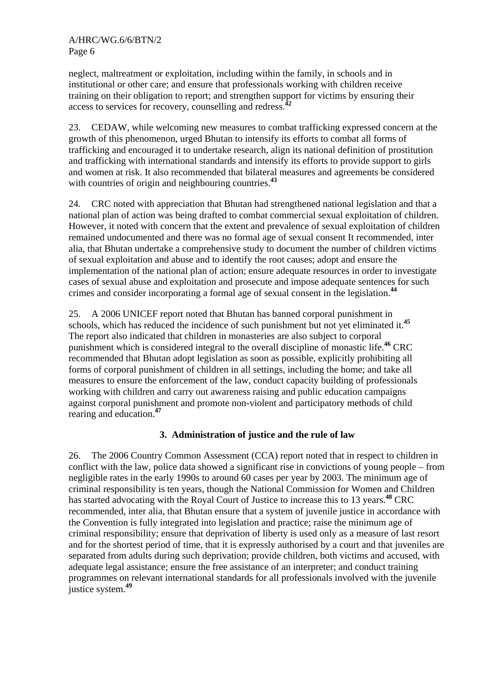neglect, maltreatment or exploitation, including within the family, in schools and in institutional or other care; and ensure that professionals working with children receive training on their obligation to report; and strengthen support for victims by ensuring their access to services for recovery, counselling and redress.**<sup>42</sup>**

23. CEDAW, while welcoming new measures to combat trafficking expressed concern at the growth of this phenomenon, urged Bhutan to intensify its efforts to combat all forms of trafficking and encouraged it to undertake research, align its national definition of prostitution and trafficking with international standards and intensify its efforts to provide support to girls and women at risk. It also recommended that bilateral measures and agreements be considered with countries of origin and neighbouring countries.**<sup>43</sup>**

24. CRC noted with appreciation that Bhutan had strengthened national legislation and that a national plan of action was being drafted to combat commercial sexual exploitation of children. However, it noted with concern that the extent and prevalence of sexual exploitation of children remained undocumented and there was no formal age of sexual consent It recommended, inter alia, that Bhutan undertake a comprehensive study to document the number of children victims of sexual exploitation and abuse and to identify the root causes; adopt and ensure the implementation of the national plan of action; ensure adequate resources in order to investigate cases of sexual abuse and exploitation and prosecute and impose adequate sentences for such crimes and consider incorporating a formal age of sexual consent in the legislation.**<sup>44</sup>**

25. A 2006 UNICEF report noted that Bhutan has banned corporal punishment in schools, which has reduced the incidence of such punishment but not yet eliminated it.**<sup>45</sup>** The report also indicated that children in monasteries are also subject to corporal punishment which is considered integral to the overall discipline of monastic life.**<sup>46</sup>** CRC recommended that Bhutan adopt legislation as soon as possible, explicitly prohibiting all forms of corporal punishment of children in all settings, including the home; and take all measures to ensure the enforcement of the law, conduct capacity building of professionals working with children and carry out awareness raising and public education campaigns against corporal punishment and promote non-violent and participatory methods of child rearing and education.**<sup>47</sup>**

## **3. Administration of justice and the rule of law**

26. The 2006 Country Common Assessment (CCA) report noted that in respect to children in conflict with the law, police data showed a significant rise in convictions of young people – from negligible rates in the early 1990s to around 60 cases per year by 2003. The minimum age of criminal responsibility is ten years, though the National Commission for Women and Children has started advocating with the Royal Court of Justice to increase this to 13 years.**<sup>48</sup>** CRC recommended, inter alia, that Bhutan ensure that a system of juvenile justice in accordance with the Convention is fully integrated into legislation and practice; raise the minimum age of criminal responsibility; ensure that deprivation of liberty is used only as a measure of last resort and for the shortest period of time, that it is expressly authorised by a court and that juveniles are separated from adults during such deprivation; provide children, both victims and accused, with adequate legal assistance; ensure the free assistance of an interpreter; and conduct training programmes on relevant international standards for all professionals involved with the juvenile justice system.**<sup>49</sup>**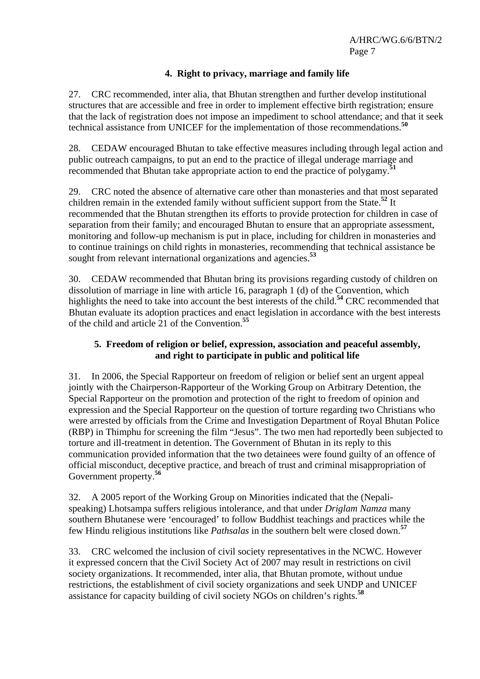## **4. Right to privacy, marriage and family life**

27. CRC recommended, inter alia, that Bhutan strengthen and further develop institutional structures that are accessible and free in order to implement effective birth registration; ensure that the lack of registration does not impose an impediment to school attendance; and that it seek technical assistance from UNICEF for the implementation of those recommendations.**<sup>50</sup>**

28. CEDAW encouraged Bhutan to take effective measures including through legal action and public outreach campaigns, to put an end to the practice of illegal underage marriage and recommended that Bhutan take appropriate action to end the practice of polygamy.**<sup>51</sup>**

29. CRC noted the absence of alternative care other than monasteries and that most separated children remain in the extended family without sufficient support from the State.**<sup>52</sup>** It recommended that the Bhutan strengthen its efforts to provide protection for children in case of separation from their family; and encouraged Bhutan to ensure that an appropriate assessment, monitoring and follow-up mechanism is put in place, including for children in monasteries and to continue trainings on child rights in monasteries, recommending that technical assistance be sought from relevant international organizations and agencies.**<sup>53</sup>**

30. CEDAW recommended that Bhutan bring its provisions regarding custody of children on dissolution of marriage in line with article 16, paragraph 1 (d) of the Convention, which highlights the need to take into account the best interests of the child.<sup>54</sup> CRC recommended that Bhutan evaluate its adoption practices and enact legislation in accordance with the best interests of the child and article 21 of the Convention.**<sup>55</sup>**

## **5. Freedom of religion or belief, expression, association and peaceful assembly, and right to participate in public and political life**

31. In 2006, the Special Rapporteur on freedom of religion or belief sent an urgent appeal jointly with the Chairperson-Rapporteur of the Working Group on Arbitrary Detention, the Special Rapporteur on the promotion and protection of the right to freedom of opinion and expression and the Special Rapporteur on the question of torture regarding two Christians who were arrested by officials from the Crime and Investigation Department of Royal Bhutan Police (RBP) in Thimphu for screening the film "Jesus". The two men had reportedly been subjected to torture and ill-treatment in detention. The Government of Bhutan in its reply to this communication provided information that the two detainees were found guilty of an offence of official misconduct, deceptive practice, and breach of trust and criminal misappropriation of Government property.**<sup>56</sup>**

32. A 2005 report of the Working Group on Minorities indicated that the (Nepalispeaking) Lhotsampa suffers religious intolerance, and that under *Driglam Namza* many southern Bhutanese were 'encouraged' to follow Buddhist teachings and practices while the few Hindu religious institutions like *Pathsalas* in the southern belt were closed down.**<sup>57</sup>**

33. CRC welcomed the inclusion of civil society representatives in the NCWC. However it expressed concern that the Civil Society Act of 2007 may result in restrictions on civil society organizations. It recommended, inter alia, that Bhutan promote, without undue restrictions, the establishment of civil society organizations and seek UNDP and UNICEF assistance for capacity building of civil society NGOs on children's rights.**<sup>58</sup>**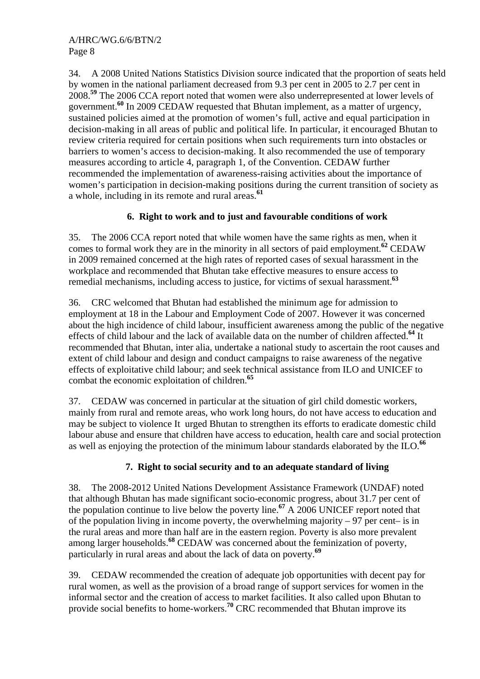34. A 2008 United Nations Statistics Division source indicated that the proportion of seats held by women in the national parliament decreased from 9.3 per cent in 2005 to 2.7 per cent in 2008.**<sup>59</sup>** The 2006 CCA report noted that women were also underrepresented at lower levels of government.<sup>60</sup> In 2009 CEDAW requested that Bhutan implement, as a matter of urgency, sustained policies aimed at the promotion of women's full, active and equal participation in decision-making in all areas of public and political life. In particular, it encouraged Bhutan to review criteria required for certain positions when such requirements turn into obstacles or barriers to women's access to decision-making. It also recommended the use of temporary measures according to article 4, paragraph 1, of the Convention. CEDAW further recommended the implementation of awareness-raising activities about the importance of women's participation in decision-making positions during the current transition of society as a whole, including in its remote and rural areas.**<sup>61</sup>**

## **6. Right to work and to just and favourable conditions of work**

35. The 2006 CCA report noted that while women have the same rights as men, when it comes to formal work they are in the minority in all sectors of paid employment.**<sup>62</sup>** CEDAW in 2009 remained concerned at the high rates of reported cases of sexual harassment in the workplace and recommended that Bhutan take effective measures to ensure access to remedial mechanisms, including access to justice, for victims of sexual harassment.**<sup>63</sup>**

36. CRC welcomed that Bhutan had established the minimum age for admission to employment at 18 in the Labour and Employment Code of 2007. However it was concerned about the high incidence of child labour, insufficient awareness among the public of the negative effects of child labour and the lack of available data on the number of children affected.**<sup>64</sup>** It recommended that Bhutan, inter alia, undertake a national study to ascertain the root causes and extent of child labour and design and conduct campaigns to raise awareness of the negative effects of exploitative child labour; and seek technical assistance from ILO and UNICEF to combat the economic exploitation of children.**<sup>65</sup>**

37. CEDAW was concerned in particular at the situation of girl child domestic workers, mainly from rural and remote areas, who work long hours, do not have access to education and may be subject to violence It urged Bhutan to strengthen its efforts to eradicate domestic child labour abuse and ensure that children have access to education, health care and social protection as well as enjoying the protection of the minimum labour standards elaborated by the ILO.**<sup>66</sup>**

## **7. Right to social security and to an adequate standard of living**

38. The 2008-2012 United Nations Development Assistance Framework (UNDAF) noted that although Bhutan has made significant socio-economic progress, about 31.7 per cent of the population continue to live below the poverty line.**<sup>67</sup>** A 2006 UNICEF report noted that of the population living in income poverty, the overwhelming majority  $-97$  per cent– is in the rural areas and more than half are in the eastern region. Poverty is also more prevalent among larger households.**<sup>68</sup>** CEDAW was concerned about the feminization of poverty, particularly in rural areas and about the lack of data on poverty.**<sup>69</sup>**

39. CEDAW recommended the creation of adequate job opportunities with decent pay for rural women, as well as the provision of a broad range of support services for women in the informal sector and the creation of access to market facilities. It also called upon Bhutan to provide social benefits to home-workers.**<sup>70</sup>** CRC recommended that Bhutan improve its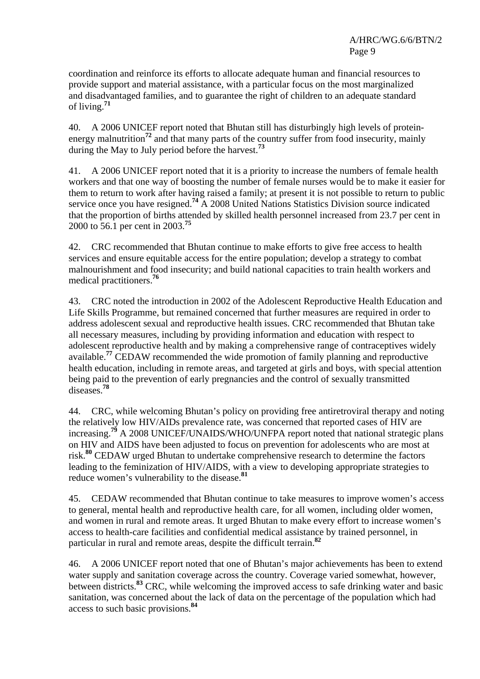coordination and reinforce its efforts to allocate adequate human and financial resources to provide support and material assistance, with a particular focus on the most marginalized and disadvantaged families, and to guarantee the right of children to an adequate standard of living.**<sup>71</sup>**

40. A 2006 UNICEF report noted that Bhutan still has disturbingly high levels of proteinenergy malnutrition<sup>72</sup> and that many parts of the country suffer from food insecurity, mainly during the May to July period before the harvest.**<sup>73</sup>**

41. A 2006 UNICEF report noted that it is a priority to increase the numbers of female health workers and that one way of boosting the number of female nurses would be to make it easier for them to return to work after having raised a family; at present it is not possible to return to public service once you have resigned.**<sup>74</sup>** A 2008 United Nations Statistics Division source indicated that the proportion of births attended by skilled health personnel increased from 23.7 per cent in 2000 to 56.1 per cent in 2003.**<sup>75</sup>**

42. CRC recommended that Bhutan continue to make efforts to give free access to health services and ensure equitable access for the entire population; develop a strategy to combat malnourishment and food insecurity; and build national capacities to train health workers and medical practitioners.**<sup>76</sup>**

43. CRC noted the introduction in 2002 of the Adolescent Reproductive Health Education and Life Skills Programme, but remained concerned that further measures are required in order to address adolescent sexual and reproductive health issues. CRC recommended that Bhutan take all necessary measures, including by providing information and education with respect to adolescent reproductive health and by making a comprehensive range of contraceptives widely available.**<sup>77</sup>** CEDAW recommended the wide promotion of family planning and reproductive health education, including in remote areas, and targeted at girls and boys, with special attention being paid to the prevention of early pregnancies and the control of sexually transmitted diseases.**<sup>78</sup>**

44. CRC, while welcoming Bhutan's policy on providing free antiretroviral therapy and noting the relatively low HIV/AIDs prevalence rate, was concerned that reported cases of HIV are increasing.**<sup>79</sup>** A 2008 UNICEF/UNAIDS/WHO/UNFPA report noted that national strategic plans on HIV and AIDS have been adjusted to focus on prevention for adolescents who are most at risk.**<sup>80</sup>** CEDAW urged Bhutan to undertake comprehensive research to determine the factors leading to the feminization of HIV/AIDS, with a view to developing appropriate strategies to reduce women's vulnerability to the disease.**<sup>81</sup>**

45. CEDAW recommended that Bhutan continue to take measures to improve women's access to general, mental health and reproductive health care, for all women, including older women, and women in rural and remote areas. It urged Bhutan to make every effort to increase women's access to health-care facilities and confidential medical assistance by trained personnel, in particular in rural and remote areas, despite the difficult terrain.**<sup>82</sup>**

46. A 2006 UNICEF report noted that one of Bhutan's major achievements has been to extend water supply and sanitation coverage across the country. Coverage varied somewhat, however, between districts.<sup>83</sup> CRC, while welcoming the improved access to safe drinking water and basic sanitation, was concerned about the lack of data on the percentage of the population which had access to such basic provisions.**<sup>84</sup>**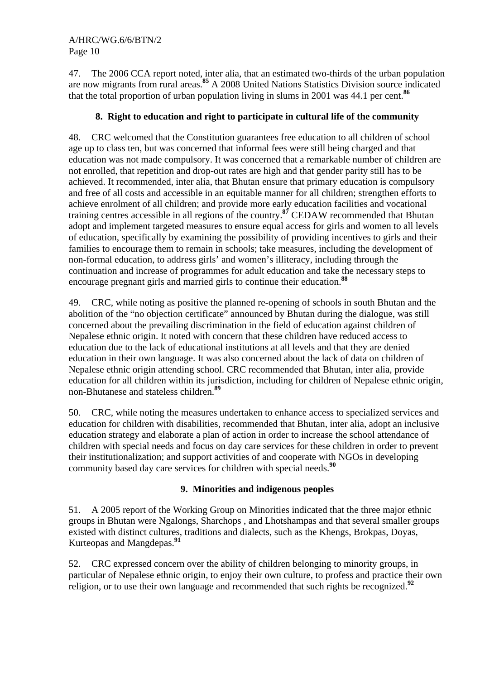47. The 2006 CCA report noted, inter alia, that an estimated two-thirds of the urban population are now migrants from rural areas.**<sup>85</sup>** A 2008 United Nations Statistics Division source indicated that the total proportion of urban population living in slums in 2001 was 44.1 per cent.**<sup>86</sup>**

## **8. Right to education and right to participate in cultural life of the community**

48. CRC welcomed that the Constitution guarantees free education to all children of school age up to class ten, but was concerned that informal fees were still being charged and that education was not made compulsory. It was concerned that a remarkable number of children are not enrolled, that repetition and drop-out rates are high and that gender parity still has to be achieved. It recommended, inter alia, that Bhutan ensure that primary education is compulsory and free of all costs and accessible in an equitable manner for all children; strengthen efforts to achieve enrolment of all children; and provide more early education facilities and vocational training centres accessible in all regions of the country.**<sup>87</sup>** CEDAW recommended that Bhutan adopt and implement targeted measures to ensure equal access for girls and women to all levels of education, specifically by examining the possibility of providing incentives to girls and their families to encourage them to remain in schools; take measures, including the development of non-formal education, to address girls' and women's illiteracy, including through the continuation and increase of programmes for adult education and take the necessary steps to encourage pregnant girls and married girls to continue their education.**<sup>88</sup>**

49. CRC, while noting as positive the planned re-opening of schools in south Bhutan and the abolition of the "no objection certificate" announced by Bhutan during the dialogue, was still concerned about the prevailing discrimination in the field of education against children of Nepalese ethnic origin. It noted with concern that these children have reduced access to education due to the lack of educational institutions at all levels and that they are denied education in their own language. It was also concerned about the lack of data on children of Nepalese ethnic origin attending school. CRC recommended that Bhutan, inter alia, provide education for all children within its jurisdiction, including for children of Nepalese ethnic origin, non-Bhutanese and stateless children.**<sup>89</sup>**

50. CRC, while noting the measures undertaken to enhance access to specialized services and education for children with disabilities, recommended that Bhutan, inter alia, adopt an inclusive education strategy and elaborate a plan of action in order to increase the school attendance of children with special needs and focus on day care services for these children in order to prevent their institutionalization; and support activities of and cooperate with NGOs in developing community based day care services for children with special needs.**<sup>90</sup>**

## **9. Minorities and indigenous peoples**

51. A 2005 report of the Working Group on Minorities indicated that the three major ethnic groups in Bhutan were Ngalongs, Sharchops , and Lhotshampas and that several smaller groups existed with distinct cultures, traditions and dialects, such as the Khengs, Brokpas, Doyas, Kurteopas and Mangdepas.**<sup>91</sup>**

52. CRC expressed concern over the ability of children belonging to minority groups, in particular of Nepalese ethnic origin, to enjoy their own culture, to profess and practice their own religion, or to use their own language and recommended that such rights be recognized.**<sup>92</sup>**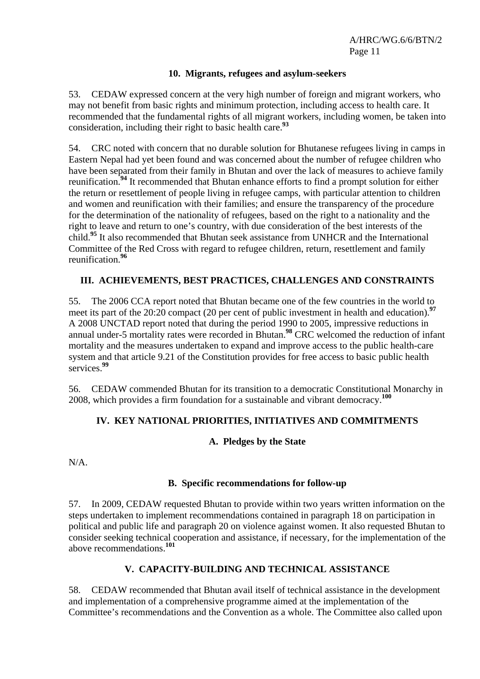#### **10. Migrants, refugees and asylum-seekers**

53. CEDAW expressed concern at the very high number of foreign and migrant workers, who may not benefit from basic rights and minimum protection, including access to health care. It recommended that the fundamental rights of all migrant workers, including women, be taken into consideration, including their right to basic health care.**<sup>93</sup>**

54. CRC noted with concern that no durable solution for Bhutanese refugees living in camps in Eastern Nepal had yet been found and was concerned about the number of refugee children who have been separated from their family in Bhutan and over the lack of measures to achieve family reunification.**<sup>94</sup>** It recommended that Bhutan enhance efforts to find a prompt solution for either the return or resettlement of people living in refugee camps, with particular attention to children and women and reunification with their families; and ensure the transparency of the procedure for the determination of the nationality of refugees, based on the right to a nationality and the right to leave and return to one's country, with due consideration of the best interests of the child.**<sup>95</sup>** It also recommended that Bhutan seek assistance from UNHCR and the International Committee of the Red Cross with regard to refugee children, return, resettlement and family reunification.**<sup>96</sup>**

## **III. ACHIEVEMENTS, BEST PRACTICES, CHALLENGES AND CONSTRAINTS**

55. The 2006 CCA report noted that Bhutan became one of the few countries in the world to meet its part of the 20:20 compact (20 per cent of public investment in health and education).<sup>97</sup> A 2008 UNCTAD report noted that during the period 1990 to 2005, impressive reductions in annual under-5 mortality rates were recorded in Bhutan.**<sup>98</sup>** CRC welcomed the reduction of infant mortality and the measures undertaken to expand and improve access to the public health-care system and that article 9.21 of the Constitution provides for free access to basic public health services.**<sup>99</sup>**

56. CEDAW commended Bhutan for its transition to a democratic Constitutional Monarchy in 2008, which provides a firm foundation for a sustainable and vibrant democracy.**<sup>100</sup>**

## **IV. KEY NATIONAL PRIORITIES, INITIATIVES AND COMMITMENTS**

## **A. Pledges by the State**

N/A.

#### **B. Specific recommendations for follow-up**

57. In 2009, CEDAW requested Bhutan to provide within two years written information on the steps undertaken to implement recommendations contained in paragraph 18 on participation in political and public life and paragraph 20 on violence against women. It also requested Bhutan to consider seeking technical cooperation and assistance, if necessary, for the implementation of the above recommendations.**<sup>101</sup>**

## **V. CAPACITY-BUILDING AND TECHNICAL ASSISTANCE**

58. CEDAW recommended that Bhutan avail itself of technical assistance in the development and implementation of a comprehensive programme aimed at the implementation of the Committee's recommendations and the Convention as a whole. The Committee also called upon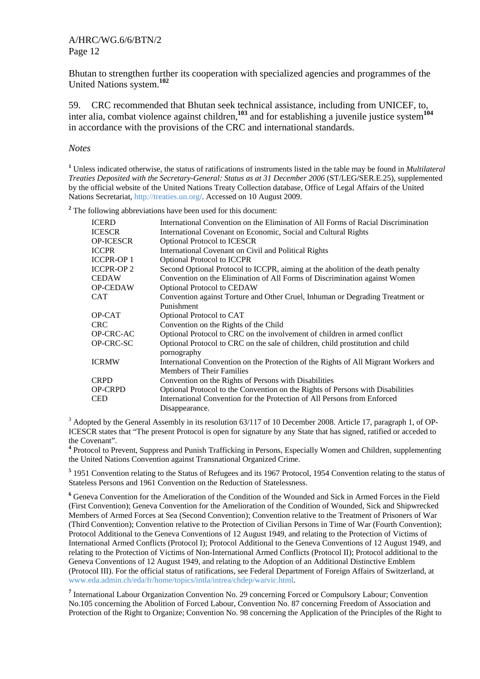Bhutan to strengthen further its cooperation with specialized agencies and programmes of the United Nations system.**<sup>102</sup>**

59. CRC recommended that Bhutan seek technical assistance, including from UNICEF, to, inter alia, combat violence against children,**<sup>103</sup>** and for establishing a juvenile justice system**<sup>104</sup>** in accordance with the provisions of the CRC and international standards.

#### *Notes*

**1** Unless indicated otherwise, the status of ratifications of instruments listed in the table may be found in *Multilateral Treaties Deposited with the Secretary-General: Status as at 31 December 2006* (ST/LEG/SER.E.25), supplemented by the official website of the United Nations Treaty Collection database, Office of Legal Affairs of the United Nations Secretariat, http://treaties.un.org**/**. Accessed on 10 August 2009.

<sup>2</sup> The following abbreviations have been used for this document:

| <b>ICERD</b>     | International Convention on the Elimination of All Forms of Racial Discrimination   |
|------------------|-------------------------------------------------------------------------------------|
| <b>ICESCR</b>    | International Covenant on Economic, Social and Cultural Rights                      |
| <b>OP-ICESCR</b> | <b>Optional Protocol to ICESCR</b>                                                  |
| <b>ICCPR</b>     | International Covenant on Civil and Political Rights                                |
| <b>ICCPR-OP1</b> | <b>Optional Protocol to ICCPR</b>                                                   |
| <b>ICCPR-OP2</b> | Second Optional Protocol to ICCPR, aiming at the abolition of the death penalty     |
| <b>CEDAW</b>     | Convention on the Elimination of All Forms of Discrimination against Women          |
| <b>OP-CEDAW</b>  | <b>Optional Protocol to CEDAW</b>                                                   |
| <b>CAT</b>       | Convention against Torture and Other Cruel, Inhuman or Degrading Treatment or       |
|                  | Punishment                                                                          |
| OP-CAT           | Optional Protocol to CAT                                                            |
| <b>CRC</b>       | Convention on the Rights of the Child                                               |
| OP-CRC-AC        | Optional Protocol to CRC on the involvement of children in armed conflict           |
| OP-CRC-SC        | Optional Protocol to CRC on the sale of children, child prostitution and child      |
|                  | pornography                                                                         |
| <b>ICRMW</b>     | International Convention on the Protection of the Rights of All Migrant Workers and |
|                  | <b>Members of Their Families</b>                                                    |
| <b>CRPD</b>      | Convention on the Rights of Persons with Disabilities                               |
| <b>OP-CRPD</b>   | Optional Protocol to the Convention on the Rights of Persons with Disabilities      |
| <b>CED</b>       | International Convention for the Protection of All Persons from Enforced            |
|                  | Disappearance.                                                                      |

 $3$  Adopted by the General Assembly in its resolution 63/117 of 10 December 2008. Article 17, paragraph 1, of OP-ICESCR states that "The present Protocol is open for signature by any State that has signed, ratified or acceded to the Covenant".

**4** Protocol to Prevent, Suppress and Punish Trafficking in Persons, Especially Women and Children, supplementing the United Nations Convention against Transnational Organized Crime.

<sup>5</sup> 1951 Convention relating to the Status of Refugees and its 1967 Protocol, 1954 Convention relating to the status of Stateless Persons and 1961 Convention on the Reduction of Statelessness.

**6** Geneva Convention for the Amelioration of the Condition of the Wounded and Sick in Armed Forces in the Field (First Convention); Geneva Convention for the Amelioration of the Condition of Wounded, Sick and Shipwrecked Members of Armed Forces at Sea (Second Convention); Convention relative to the Treatment of Prisoners of War (Third Convention); Convention relative to the Protection of Civilian Persons in Time of War (Fourth Convention); Protocol Additional to the Geneva Conventions of 12 August 1949, and relating to the Protection of Victims of International Armed Conflicts (Protocol I); Protocol Additional to the Geneva Conventions of 12 August 1949, and relating to the Protection of Victims of Non-International Armed Conflicts (Protocol II); Protocol additional to the Geneva Conventions of 12 August 1949, and relating to the Adoption of an Additional Distinctive Emblem (Protocol III). For the official status of ratifications, see Federal Department of Foreign Affairs of Switzerland, at www.eda.admin.ch/eda/fr/home/topics/intla/intrea/chdep/warvic.html.

<sup>7</sup> International Labour Organization Convention No. 29 concerning Forced or Compulsory Labour; Convention No.105 concerning the Abolition of Forced Labour, Convention No. 87 concerning Freedom of Association and Protection of the Right to Organize; Convention No. 98 concerning the Application of the Principles of the Right to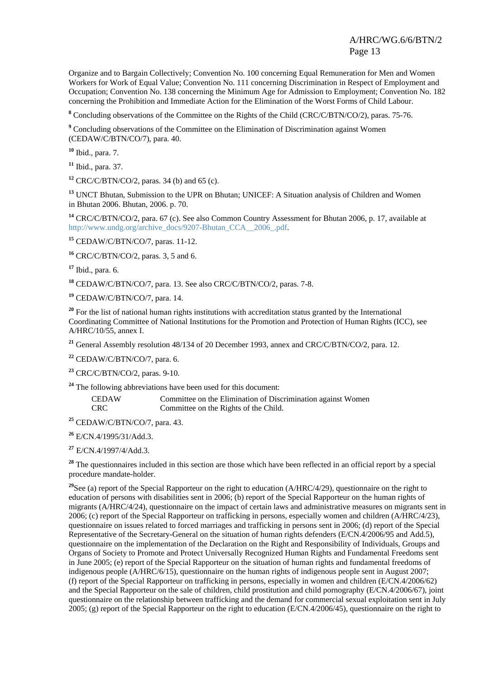Organize and to Bargain Collectively; Convention No. 100 concerning Equal Remuneration for Men and Women Workers for Work of Equal Value; Convention No. 111 concerning Discrimination in Respect of Employment and Occupation; Convention No. 138 concerning the Minimum Age for Admission to Employment; Convention No. 182 concerning the Prohibition and Immediate Action for the Elimination of the Worst Forms of Child Labour.

<sup>8</sup> Concluding observations of the Committee on the Rights of the Child (CRC/C/BTN/CO/2), paras. 75-76.

<sup>9</sup> Concluding observations of the Committee on the Elimination of Discrimination against Women (CEDAW/C/BTN/CO/7), para. 40.

**<sup>10</sup>** Ibid., para. 7.

**<sup>11</sup>** Ibid., para. 37.

**<sup>12</sup>** CRC/C/BTN/CO/2, paras. 34 (b) and 65 (c).

**<sup>13</sup>** UNCT Bhutan, Submission to the UPR on Bhutan; UNICEF: A Situation analysis of Children and Women in Bhutan 2006. Bhutan, 2006. p. 70.

**<sup>14</sup>** CRC/C/BTN/CO/2, para. 67 (c). See also Common Country Assessment for Bhutan 2006, p. 17, available at http://www.undg.org/archive\_docs/9207-Bhutan\_CCA\_\_2006\_.pdf.

**<sup>15</sup>** CEDAW/C/BTN/CO/7, paras. 11-12.

**<sup>16</sup>** CRC/C/BTN/CO/2, paras. 3, 5 and 6.

**<sup>17</sup>** Ibid., para. 6.

**<sup>18</sup>** CEDAW/C/BTN/CO/7, para. 13. See also CRC/C/BTN/CO/2, paras. 7-8.

**<sup>19</sup>** CEDAW/C/BTN/CO/7, para. 14.

<sup>20</sup> For the list of national human rights institutions with accreditation status granted by the International Coordinating Committee of National Institutions for the Promotion and Protection of Human Rights (ICC), see A/HRC/10/55, annex I.

**<sup>21</sup>** General Assembly resolution 48/134 of 20 December 1993, annex and CRC/C/BTN/CO/2, para. 12.

**<sup>22</sup>** CEDAW/C/BTN/CO/7, para. 6.

**<sup>23</sup>** CRC/C/BTN/CO/2, paras. 9-10.

**<sup>24</sup>** The following abbreviations have been used for this document:

CEDAW Committee on the Elimination of Discrimination against Women CRC Committee on the Rights of the Child.

**<sup>25</sup>** CEDAW/C/BTN/CO/7, para. 43.

**<sup>26</sup>** E/CN.4/1995/31/Add.3.

**<sup>27</sup>** E/CN.4/1997/4/Add.3.

<sup>28</sup> The questionnaires included in this section are those which have been reflected in an official report by a special procedure mandate-holder.

<sup>29</sup>See (a) report of the Special Rapporteur on the right to education (A/HRC/4/29), questionnaire on the right to education of persons with disabilities sent in 2006; (b) report of the Special Rapporteur on the human rights of migrants (A/HRC/4/24), questionnaire on the impact of certain laws and administrative measures on migrants sent in 2006; (c) report of the Special Rapporteur on trafficking in persons, especially women and children (A/HRC/4/23), questionnaire on issues related to forced marriages and trafficking in persons sent in 2006; (d) report of the Special Representative of the Secretary-General on the situation of human rights defenders (E/CN.4/2006/95 and Add.5), questionnaire on the implementation of the Declaration on the Right and Responsibility of Individuals, Groups and Organs of Society to Promote and Protect Universally Recognized Human Rights and Fundamental Freedoms sent in June 2005; (e) report of the Special Rapporteur on the situation of human rights and fundamental freedoms of indigenous people (A/HRC/6/15), questionnaire on the human rights of indigenous people sent in August 2007; (f) report of the Special Rapporteur on trafficking in persons, especially in women and children (E/CN.4/2006/62) and the Special Rapporteur on the sale of children, child prostitution and child pornography (E/CN.4/2006/67), joint questionnaire on the relationship between trafficking and the demand for commercial sexual exploitation sent in July 2005; (g) report of the Special Rapporteur on the right to education (E/CN.4/2006/45), questionnaire on the right to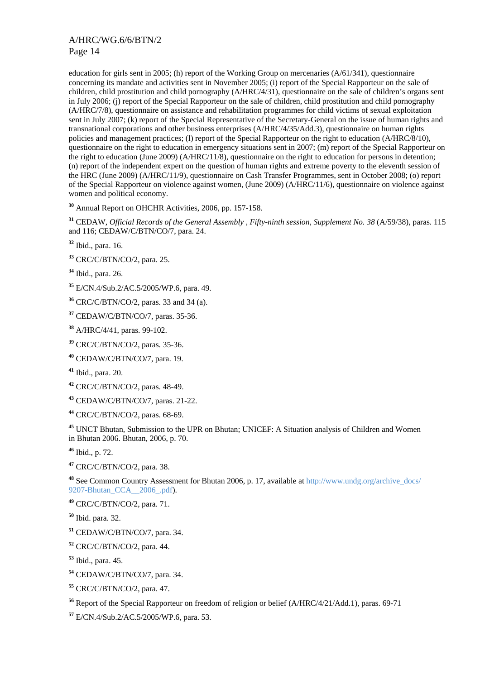education for girls sent in 2005; (h) report of the Working Group on mercenaries (A/61/341), questionnaire concerning its mandate and activities sent in November 2005; (i) report of the Special Rapporteur on the sale of children, child prostitution and child pornography (A/HRC/4/31), questionnaire on the sale of children's organs sent in July 2006; (j) report of the Special Rapporteur on the sale of children, child prostitution and child pornography (A/HRC/7/8), questionnaire on assistance and rehabilitation programmes for child victims of sexual exploitation sent in July 2007; (k) report of the Special Representative of the Secretary-General on the issue of human rights and transnational corporations and other business enterprises (A/HRC/4/35/Add.3), questionnaire on human rights policies and management practices; (l) report of the Special Rapporteur on the right to education (A/HRC/8/10), questionnaire on the right to education in emergency situations sent in 2007; (m) report of the Special Rapporteur on the right to education (June 2009) (A/HRC/11/8), questionnaire on the right to education for persons in detention; (n) report of the independent expert on the question of human rights and extreme poverty to the eleventh session of the HRC (June 2009) (A/HRC/11/9), questionnaire on Cash Transfer Programmes, sent in October 2008; (o) report of the Special Rapporteur on violence against women, (June 2009) (A/HRC/11/6), questionnaire on violence against women and political economy.

**<sup>30</sup>** Annual Report on OHCHR Activities, 2006, pp. 157-158.

**<sup>31</sup>** CEDAW, *Official Records of the General Assembly , Fifty-ninth session, Supplement No. 38* (A/59/38), paras. 115 and 116; CEDAW/C/BTN/CO/7, para. 24.

**<sup>32</sup>** Ibid., para. 16.

- **<sup>33</sup>** CRC/C/BTN/CO/2, para. 25.
- **<sup>34</sup>** Ibid., para. 26.
- **<sup>35</sup>** E/CN.4/Sub.2/AC.5/2005/WP.6, para. 49.
- **<sup>36</sup>** CRC/C/BTN/CO/2, paras. 33 and 34 (a).

**<sup>37</sup>** CEDAW/C/BTN/CO/7, paras. 35-36.

**<sup>38</sup>** A/HRC/4/41, paras. 99-102.

**<sup>39</sup>** CRC/C/BTN/CO/2, paras. 35-36.

**<sup>40</sup>** CEDAW/C/BTN/CO/7, para. 19.

**<sup>41</sup>** Ibid., para. 20.

**<sup>42</sup>** CRC/C/BTN/CO/2, paras. 48-49.

**<sup>43</sup>** CEDAW/C/BTN/CO/7, paras. 21-22.

**<sup>44</sup>** CRC/C/BTN/CO/2, paras. 68-69.

**<sup>45</sup>** UNCT Bhutan, Submission to the UPR on Bhutan; UNICEF: A Situation analysis of Children and Women in Bhutan 2006. Bhutan, 2006, p. 70.

**<sup>46</sup>** Ibid., p. 72.

**<sup>47</sup>** CRC/C/BTN/CO/2, para. 38.

**<sup>48</sup>** See Common Country Assessment for Bhutan 2006, p. 17, available at http://www.undg.org/archive\_docs/ 9207-Bhutan\_CCA\_\_2006\_.pdf).

**<sup>49</sup>** CRC/C/BTN/CO/2, para. 71.

**<sup>50</sup>** Ibid. para. 32.

**<sup>51</sup>** CEDAW/C/BTN/CO/7, para. 34.

**<sup>52</sup>** CRC/C/BTN/CO/2, para. 44.

**<sup>53</sup>** Ibid., para. 45.

**<sup>54</sup>** CEDAW/C/BTN/CO/7, para. 34.

**<sup>55</sup>** CRC/C/BTN/CO/2, para. 47.

**<sup>56</sup>** Report of the Special Rapporteur on freedom of religion or belief (A/HRC/4/21/Add.1), paras. 69-71

**<sup>57</sup>** E/CN.4/Sub.2/AC.5/2005/WP.6, para. 53.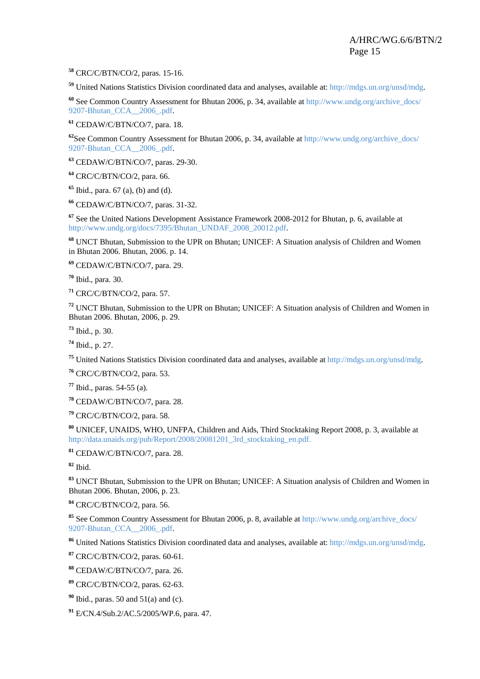CRC/C/BTN/CO/2, paras. 15-16.

United Nations Statistics Division coordinated data and analyses, available at: http://mdgs.un.org/unsd/mdg.

 See Common Country Assessment for Bhutan 2006, p. 34, available at http://www.undg.org/archive\_docs/ 9207-Bhutan\_CCA\_\_2006\_.pdf.

CEDAW/C/BTN/CO/7, para. 18.

<sup>62</sup>See Common Country Assessment for Bhutan 2006, p. 34, available at http://www.undg.org/archive\_docs/ 9207-Bhutan\_CCA\_\_2006\_.pdf.

CEDAW/C/BTN/CO/7, paras. 29-30.

CRC/C/BTN/CO/2, para. 66.

Ibid., para. 67 (a), (b) and (d).

CEDAW/C/BTN/CO/7, paras. 31-32.

 See the United Nations Development Assistance Framework 2008-2012 for Bhutan, p. 6, available at http://www.undg.org/docs/7395/Bhutan\_UNDAF\_2008\_20012.pdf.

 UNCT Bhutan, Submission to the UPR on Bhutan; UNICEF: A Situation analysis of Children and Women in Bhutan 2006. Bhutan, 2006. p. 14.

CEDAW/C/BTN/CO/7, para. 29.

Ibid., para. 30.

CRC/C/BTN/CO/2, para. 57.

 UNCT Bhutan, Submission to the UPR on Bhutan; UNICEF: A Situation analysis of Children and Women in Bhutan 2006. Bhutan, 2006, p. 29.

Ibid., p. 30.

Ibid., p. 27.

United Nations Statistics Division coordinated data and analyses, available at http://mdgs.un.org/unsd/mdg.

CRC/C/BTN/CO/2, para. 53.

Ibid., paras. 54-55 (a).

CEDAW/C/BTN/CO/7, para. 28.

CRC/C/BTN/CO/2, para. 58.

 UNICEF, UNAIDS, WHO, UNFPA, Children and Aids, Third Stocktaking Report 2008, p. 3, available at http://data.unaids.org/pub/Report/2008/20081201\_3rd\_stocktaking\_en.pdf.

CEDAW/C/BTN/CO/7, para. 28.

Ibid.

 UNCT Bhutan, Submission to the UPR on Bhutan; UNICEF: A Situation analysis of Children and Women in Bhutan 2006. Bhutan, 2006, p. 23.

CRC/C/BTN/CO/2, para. 56.

 See Common Country Assessment for Bhutan 2006, p. 8, available at http://www.undg.org/archive\_docs/ 9207-Bhutan\_CCA\_\_2006\_.pdf.

United Nations Statistics Division coordinated data and analyses, available at: http://mdgs.un.org/unsd/mdg.

CRC/C/BTN/CO/2, paras. 60-61.

CEDAW/C/BTN/CO/7, para. 26.

CRC/C/BTN/CO/2, paras. 62-63.

Ibid., paras. 50 and 51(a) and (c).

E/CN.4/Sub.2/AC.5/2005/WP.6, para. 47.